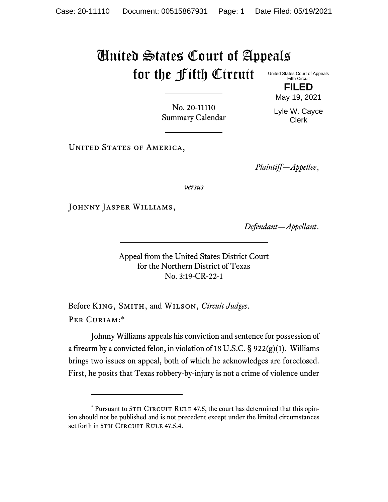## United States Court of Appeals for the Fifth Circuit United States Court of Appeals

Fifth Circuit **FILED**

May 19, 2021

Lyle W. Cayce Clerk

No. 20-11110 Summary Calendar

UNITED STATES OF AMERICA,

*Plaintiff—Appellee*,

*versus*

JOHNNY JASPER WILLIAMS,

*Defendant—Appellant*.

Appeal from the United States District Court for the Northern District of Texas No. 3:19-CR-22-1

Before King, Smith, and Wilson, *Circuit Judges*. Per Curiam:\*

Johnny Williams appeals his conviction and sentence for possession of a firearm by a convicted felon, in violation of 18 U.S.C. § 922(g)(1). Williams brings two issues on appeal, both of which he acknowledges are foreclosed. First, he posits that Texas robbery-by-injury is not a crime of violence under

<sup>\*</sup> Pursuant to 5TH CIRCUIT RULE 47.5, the court has determined that this opinion should not be published and is not precedent except under the limited circumstances set forth in 5TH CIRCUIT RULE 47.5.4.